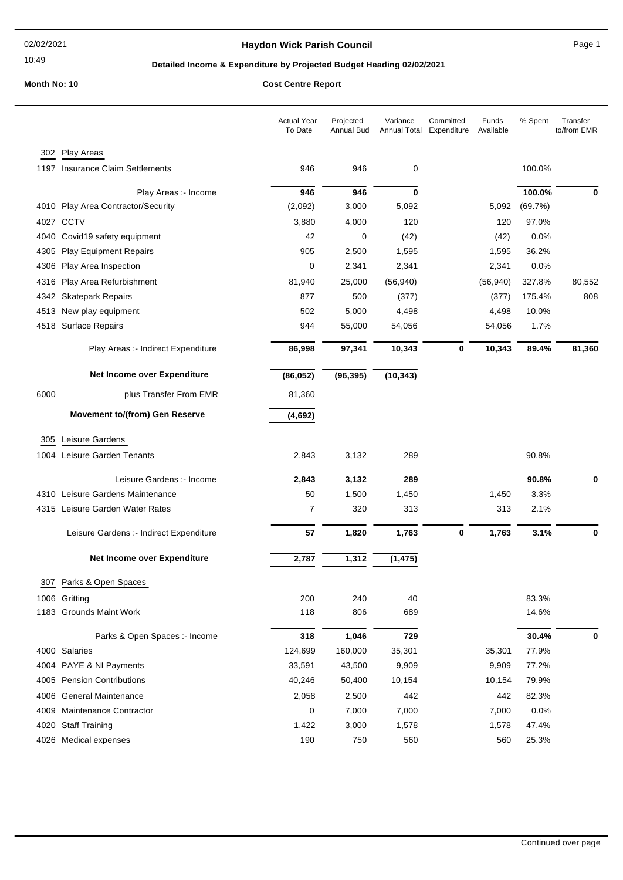#### 02/02/2021

#### 10:49

## **Haydon Wick Parish Council Canadian Council** Page 1

## **Detailed Income & Expenditure by Projected Budget Heading 02/02/2021**

# **Month No: 10 Cost Centre Report**

|      |                                         | <b>Actual Year</b><br>To Date | Projected<br>Annual Bud | Variance<br>Annual Total | Committed<br>Expenditure | Funds<br>Available | % Spent | Transfer<br>to/from EMR |
|------|-----------------------------------------|-------------------------------|-------------------------|--------------------------|--------------------------|--------------------|---------|-------------------------|
|      | 302 Play Areas                          |                               |                         |                          |                          |                    |         |                         |
|      | 1197 Insurance Claim Settlements        | 946                           | 946                     | 0                        |                          |                    | 100.0%  |                         |
|      | Play Areas :- Income                    | 946                           | 946                     | 0                        |                          |                    | 100.0%  | 0                       |
|      | 4010 Play Area Contractor/Security      | (2,092)                       | 3,000                   | 5,092                    |                          | 5,092              | (69.7%) |                         |
|      | 4027 CCTV                               | 3,880                         | 4,000                   | 120                      |                          | 120                | 97.0%   |                         |
|      | 4040 Covid19 safety equipment           | 42                            | 0                       | (42)                     |                          | (42)               | 0.0%    |                         |
| 4305 | <b>Play Equipment Repairs</b>           | 905                           | 2,500                   | 1,595                    |                          | 1,595              | 36.2%   |                         |
| 4306 | Play Area Inspection                    | 0                             | 2,341                   | 2,341                    |                          | 2,341              | 0.0%    |                         |
| 4316 | Play Area Refurbishment                 | 81,940                        | 25,000                  | (56, 940)                |                          | (56, 940)          | 327.8%  | 80,552                  |
|      | 4342 Skatepark Repairs                  | 877                           | 500                     | (377)                    |                          | (377)              | 175.4%  | 808                     |
|      | 4513 New play equipment                 | 502                           | 5,000                   | 4,498                    |                          | 4,498              | 10.0%   |                         |
|      | 4518 Surface Repairs                    | 944                           | 55,000                  | 54,056                   |                          | 54,056             | 1.7%    |                         |
|      | Play Areas :- Indirect Expenditure      | 86,998                        | 97,341                  | 10,343                   | $\mathbf 0$              | 10,343             | 89.4%   | 81,360                  |
|      | Net Income over Expenditure             | (86, 052)                     | (96, 395)               | (10, 343)                |                          |                    |         |                         |
| 6000 | plus Transfer From EMR                  | 81,360                        |                         |                          |                          |                    |         |                         |
|      | <b>Movement to/(from) Gen Reserve</b>   | (4,692)                       |                         |                          |                          |                    |         |                         |
| 305  | Leisure Gardens                         |                               |                         |                          |                          |                    |         |                         |
|      | 1004 Leisure Garden Tenants             | 2,843                         | 3,132                   | 289                      |                          |                    | 90.8%   |                         |
|      | Leisure Gardens :- Income               | 2,843                         | 3,132                   | 289                      |                          |                    | 90.8%   | 0                       |
|      | 4310 Leisure Gardens Maintenance        | 50                            | 1,500                   | 1,450                    |                          | 1,450              | 3.3%    |                         |
|      | 4315 Leisure Garden Water Rates         | 7                             | 320                     | 313                      |                          | 313                | 2.1%    |                         |
|      | Leisure Gardens :- Indirect Expenditure | 57                            | 1,820                   | 1,763                    | $\bf{0}$                 | 1,763              | 3.1%    | 0                       |
|      | Net Income over Expenditure             | 2,787                         | 1,312                   | (1, 475)                 |                          |                    |         |                         |
| 307  | Parks & Open Spaces                     |                               |                         |                          |                          |                    |         |                         |
|      | 1006 Gritting                           | 200                           | 240                     | 40                       |                          |                    | 83.3%   |                         |
|      | 1183 Grounds Maint Work                 | 118                           | 806                     | 689                      |                          |                    | 14.6%   |                         |
|      | Parks & Open Spaces :- Income           | 318                           | 1,046                   | 729                      |                          |                    | 30.4%   | 0                       |
|      | 4000 Salaries                           | 124,699                       | 160,000                 | 35,301                   |                          | 35,301             | 77.9%   |                         |
|      | 4004 PAYE & NI Payments                 | 33,591                        | 43,500                  | 9,909                    |                          | 9,909              | 77.2%   |                         |
|      | 4005 Pension Contributions              | 40,246                        | 50,400                  | 10,154                   |                          | 10,154             | 79.9%   |                         |
|      | 4006 General Maintenance                | 2,058                         | 2,500                   | 442                      |                          | 442                | 82.3%   |                         |
|      | 4009 Maintenance Contractor             | 0                             | 7,000                   | 7,000                    |                          | 7,000              | 0.0%    |                         |
|      | 4020 Staff Training                     | 1,422                         | 3,000                   | 1,578                    |                          | 1,578              | 47.4%   |                         |
|      | 4026 Medical expenses                   | 190                           | 750                     | 560                      |                          | 560                | 25.3%   |                         |